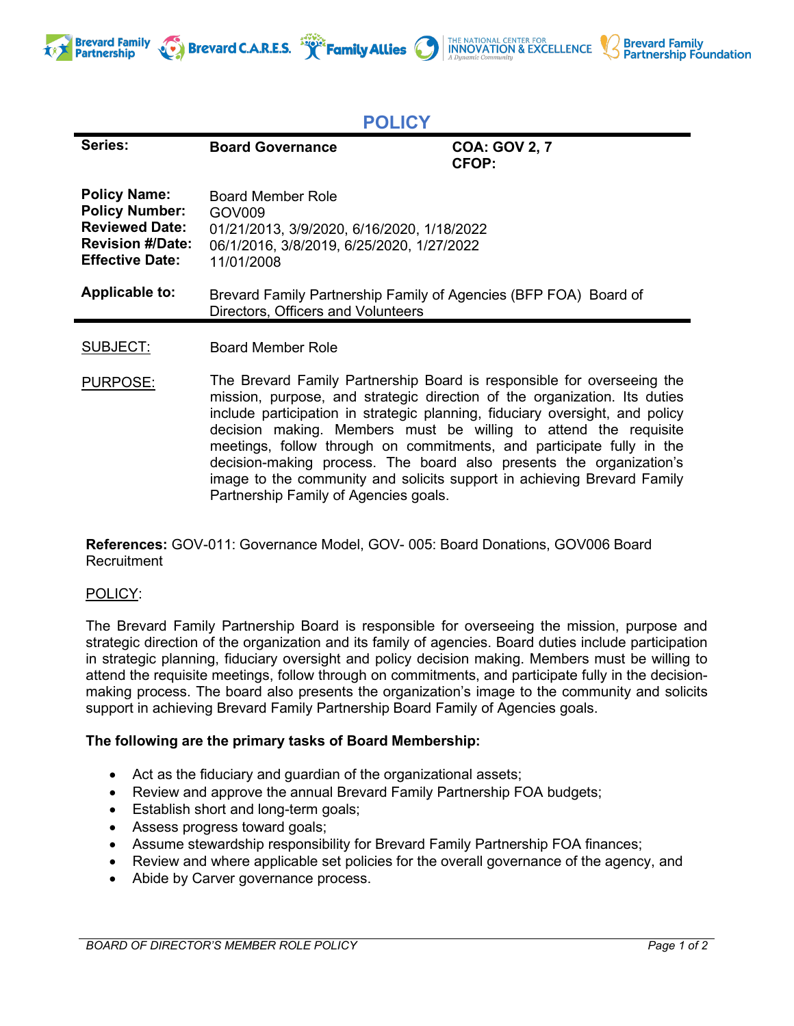



THE NATIONAL CENTER FOR **INNOVATION & EXCELLENCE** 

**Brevard Family** 

**Partnership Foundation** 

PURPOSE: The Brevard Family Partnership Board is responsible for overseeing the mission, purpose, and strategic direction of the organization. Its duties include participation in strategic planning, fiduciary oversight, and policy decision making. Members must be willing to attend the requisite meetings, follow through on commitments, and participate fully in the decision-making process. The board also presents the organization's image to the community and solicits support in achieving Brevard Family Partnership Family of Agencies goals.

**References:** GOV-011: Governance Model, GOV- 005: Board Donations, GOV006 Board **Recruitment** 

## POLICY:

The Brevard Family Partnership Board is responsible for overseeing the mission, purpose and strategic direction of the organization and its family of agencies. Board duties include participation in strategic planning, fiduciary oversight and policy decision making. Members must be willing to attend the requisite meetings, follow through on commitments, and participate fully in the decisionmaking process. The board also presents the organization's image to the community and solicits support in achieving Brevard Family Partnership Board Family of Agencies goals.

## **The following are the primary tasks of Board Membership:**

- Act as the fiduciary and guardian of the organizational assets;
- Review and approve the annual Brevard Family Partnership FOA budgets;
- Establish short and long-term goals;
- Assess progress toward goals;
- Assume stewardship responsibility for Brevard Family Partnership FOA finances;
- Review and where applicable set policies for the overall governance of the agency, and
- Abide by Carver governance process.